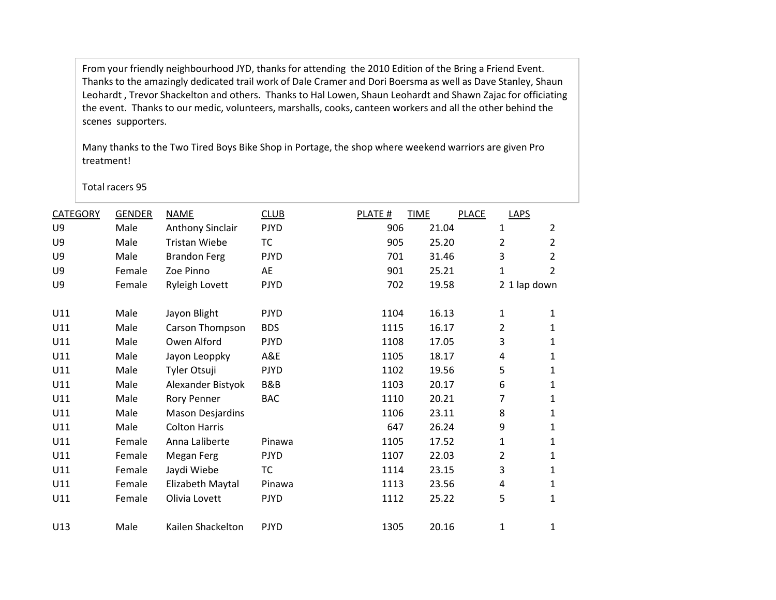From your friendly neighbourhood JYD, thanks for attending the 2010 Edition of the Bring a Friend Event. Thanks to the amazingly dedicated trail work of Dale Cramer and Dori Boersma as well as Dave Stanley, Shaun Leohardt , Trevor Shackelton and others. Thanks to Hal Lowen, Shaun Leohardt and Shawn Zajac for officiating the event. Thanks to our medic, volunteers, marshalls, cooks, canteen workers and all the other behind the scenes supporters.

Many thanks to the Two Tired Boys Bike Shop in Portage, the shop where weekend warriors are given Pro treatment!

Total racers 95

| <b>CATEGORY</b> | <b>GENDER</b> | <b>NAME</b>             | <b>CLUB</b> | PLATE # | <b>TIME</b> | <b>PLACE</b> | LAPS           |                |
|-----------------|---------------|-------------------------|-------------|---------|-------------|--------------|----------------|----------------|
| U <sub>9</sub>  | Male          | <b>Anthony Sinclair</b> | <b>PJYD</b> | 906     | 21.04       |              | 1              | $\overline{2}$ |
| U9              | Male          | <b>Tristan Wiebe</b>    | <b>TC</b>   | 905     | 25.20       |              | 2              | 2              |
| U9              | Male          | <b>Brandon Ferg</b>     | <b>PJYD</b> | 701     | 31.46       |              | 3              | $\overline{2}$ |
| U9              | Female        | Zoe Pinno               | AE          | 901     | 25.21       |              | 1              | 2              |
| U9              | Female        | <b>Ryleigh Lovett</b>   | <b>PJYD</b> | 702     | 19.58       |              | 2 1 lap down   |                |
| U11             | Male          | Jayon Blight            | <b>PJYD</b> | 1104    | 16.13       |              | 1              | 1              |
| U11             | Male          | Carson Thompson         | <b>BDS</b>  | 1115    | 16.17       |              | 2              | 1              |
| U11             | Male          | Owen Alford             | <b>PJYD</b> | 1108    | 17.05       |              | 3              | 1              |
| U11             | Male          | Jayon Leoppky           | A&E         | 1105    | 18.17       |              | 4              | 1              |
| U11             | Male          | Tyler Otsuji            | <b>PJYD</b> | 1102    | 19.56       |              | 5              | $\mathbf{1}$   |
| U11             | Male          | Alexander Bistyok       | B&B         | 1103    | 20.17       |              | 6              | 1              |
| U11             | Male          | Rory Penner             | BAC         | 1110    | 20.21       |              | 7              | 1              |
| U11             | Male          | <b>Mason Desjardins</b> |             | 1106    | 23.11       |              | 8              | 1              |
| U11             | Male          | <b>Colton Harris</b>    |             | 647     | 26.24       |              | 9              | 1              |
| U11             | Female        | Anna Laliberte          | Pinawa      | 1105    | 17.52       |              | 1              | 1              |
| U11             | Female        | Megan Ferg              | <b>PJYD</b> | 1107    | 22.03       |              | $\overline{2}$ | 1              |
| U11             | Female        | Jaydi Wiebe             | <b>TC</b>   | 1114    | 23.15       |              | 3              | 1              |
| U11             | Female        | Elizabeth Maytal        | Pinawa      | 1113    | 23.56       |              | 4              | 1              |
| U11             | Female        | Olivia Lovett           | <b>PJYD</b> | 1112    | 25.22       |              | 5              | 1              |
| U13             | Male          | Kailen Shackelton       | <b>PJYD</b> | 1305    | 20.16       |              | 1              | 1              |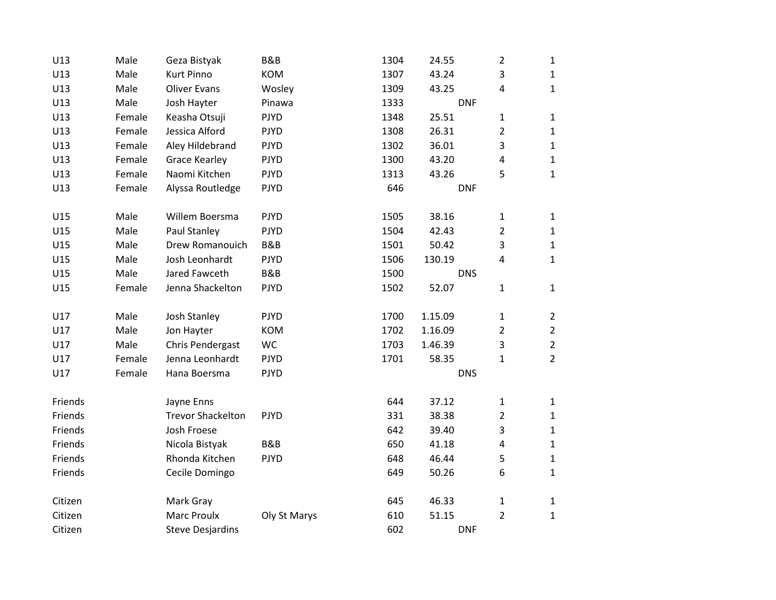| U13     | Male   | Geza Bistyak             | <b>B&amp;B</b> | 1304 | 24.55      | $\overline{2}$ | $\mathbf{1}$   |
|---------|--------|--------------------------|----------------|------|------------|----------------|----------------|
| U13     | Male   | <b>Kurt Pinno</b>        | <b>KOM</b>     | 1307 | 43.24      | 3              | $\mathbf{1}$   |
| U13     | Male   | <b>Oliver Evans</b>      | Wosley         | 1309 | 43.25      | 4              | $\mathbf{1}$   |
| U13     | Male   | Josh Hayter              | Pinawa         | 1333 | <b>DNF</b> |                |                |
| U13     | Female | Keasha Otsuji            | <b>PJYD</b>    | 1348 | 25.51      | $\mathbf 1$    | $\mathbf{1}$   |
| U13     | Female | Jessica Alford           | <b>PJYD</b>    | 1308 | 26.31      | $\overline{2}$ | $\mathbf{1}$   |
| U13     | Female | Aley Hildebrand          | <b>PJYD</b>    | 1302 | 36.01      | 3              | $\mathbf{1}$   |
| U13     | Female | <b>Grace Kearley</b>     | <b>PJYD</b>    | 1300 | 43.20      | 4              | $\mathbf 1$    |
| U13     | Female | Naomi Kitchen            | <b>PJYD</b>    | 1313 | 43.26      | 5              | $\mathbf{1}$   |
| U13     | Female | Alyssa Routledge         | <b>PJYD</b>    | 646  | <b>DNF</b> |                |                |
| U15     | Male   | Willem Boersma           | <b>PJYD</b>    | 1505 | 38.16      | 1              | $\mathbf{1}$   |
| U15     | Male   | Paul Stanley             | <b>PJYD</b>    | 1504 | 42.43      | $\overline{2}$ | $\mathbf{1}$   |
| U15     | Male   | Drew Romanouich          | B&B            | 1501 | 50.42      | 3              | $\mathbf{1}$   |
| U15     | Male   | Josh Leonhardt           | <b>PJYD</b>    | 1506 | 130.19     | 4              | $\mathbf{1}$   |
| U15     | Male   | Jared Fawceth            | B&B            | 1500 | <b>DNS</b> |                |                |
| U15     | Female | Jenna Shackelton         | <b>PJYD</b>    | 1502 | 52.07      | $\mathbf{1}$   | $\mathbf{1}$   |
| U17     | Male   | Josh Stanley             | <b>PJYD</b>    | 1700 | 1.15.09    | $\mathbf{1}$   | $\overline{2}$ |
| U17     | Male   | Jon Hayter               | <b>KOM</b>     | 1702 | 1.16.09    | $\overline{2}$ | $\overline{2}$ |
| U17     | Male   | Chris Pendergast         | WC             | 1703 | 1.46.39    | 3              | $\overline{2}$ |
| U17     | Female | Jenna Leonhardt          | <b>PJYD</b>    | 1701 | 58.35      | $\mathbf{1}$   | $\overline{2}$ |
| U17     | Female | Hana Boersma             | <b>PJYD</b>    |      | <b>DNS</b> |                |                |
| Friends |        | Jayne Enns               |                | 644  | 37.12      | $\mathbf 1$    | $\mathbf{1}$   |
| Friends |        | <b>Trevor Shackelton</b> | <b>PJYD</b>    | 331  | 38.38      | $\overline{2}$ | $\mathbf{1}$   |
| Friends |        | Josh Froese              |                | 642  | 39.40      | 3              | $\mathbf 1$    |
| Friends |        | Nicola Bistyak           | B&B            | 650  | 41.18      | 4              | $\mathbf{1}$   |
| Friends |        | Rhonda Kitchen           | <b>PJYD</b>    | 648  | 46.44      | 5              | $\mathbf{1}$   |
| Friends |        | Cecile Domingo           |                | 649  | 50.26      | 6              | $\mathbf{1}$   |
| Citizen |        | Mark Gray                |                | 645  | 46.33      | 1              | $\mathbf{1}$   |
| Citizen |        | <b>Marc Proulx</b>       | Oly St Marys   | 610  | 51.15      | $\overline{2}$ | $\mathbf{1}$   |
| Citizen |        | <b>Steve Desjardins</b>  |                | 602  | <b>DNF</b> |                |                |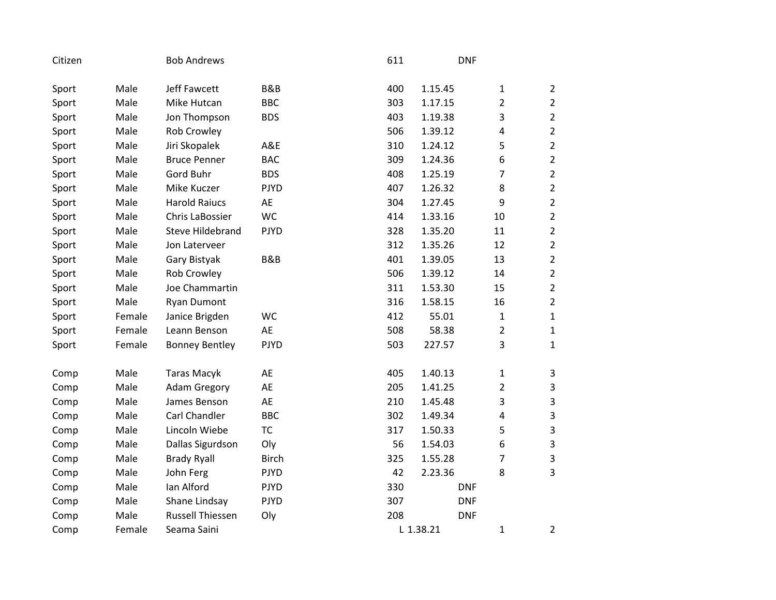| Citizen |        | <b>Bob Andrews</b>      |                | 611 |           | <b>DNF</b>     |                           |
|---------|--------|-------------------------|----------------|-----|-----------|----------------|---------------------------|
| Sport   | Male   | Jeff Fawcett            | <b>B&amp;B</b> | 400 | 1.15.45   | 1              | $\overline{2}$            |
| Sport   | Male   | Mike Hutcan             | <b>BBC</b>     | 303 | 1.17.15   | $\overline{2}$ | $\overline{2}$            |
| Sport   | Male   | Jon Thompson            | <b>BDS</b>     | 403 | 1.19.38   | 3              | $\mathbf 2$               |
| Sport   | Male   | Rob Crowley             |                | 506 | 1.39.12   | 4              | $\overline{2}$            |
| Sport   | Male   | Jiri Skopalek           | A&E            | 310 | 1.24.12   | 5              | $\overline{2}$            |
| Sport   | Male   | <b>Bruce Penner</b>     | <b>BAC</b>     | 309 | 1.24.36   | 6              | $\overline{2}$            |
| Sport   | Male   | Gord Buhr               | <b>BDS</b>     | 408 | 1.25.19   | $\overline{7}$ | $\overline{2}$            |
| Sport   | Male   | Mike Kuczer             | <b>PJYD</b>    | 407 | 1.26.32   | 8              | $\mathbf 2$               |
| Sport   | Male   | <b>Harold Raiucs</b>    | AE             | 304 | 1.27.45   | 9              | $\overline{2}$            |
| Sport   | Male   | Chris LaBossier         | <b>WC</b>      | 414 | 1.33.16   | 10             | $\overline{2}$            |
| Sport   | Male   | <b>Steve Hildebrand</b> | <b>PJYD</b>    | 328 | 1.35.20   | 11             | $\overline{2}$            |
| Sport   | Male   | Jon Laterveer           |                | 312 | 1.35.26   | 12             | $\overline{2}$            |
| Sport   | Male   | Gary Bistyak            | B&B            | 401 | 1.39.05   | 13             | $\mathbf 2$               |
| Sport   | Male   | Rob Crowley             |                | 506 | 1.39.12   | 14             | $\overline{2}$            |
| Sport   | Male   | Joe Chammartin          |                | 311 | 1.53.30   | 15             | $\overline{2}$            |
| Sport   | Male   | <b>Ryan Dumont</b>      |                | 316 | 1.58.15   | 16             | $\overline{2}$            |
| Sport   | Female | Janice Brigden          | WC             | 412 | 55.01     | $\mathbf{1}$   | $\mathbf{1}$              |
| Sport   | Female | Leann Benson            | AE             | 508 | 58.38     | $\overline{2}$ | $\mathbf{1}$              |
| Sport   | Female | <b>Bonney Bentley</b>   | <b>PJYD</b>    | 503 | 227.57    | 3              | $\mathbf{1}$              |
| Comp    | Male   | <b>Taras Macyk</b>      | AE             | 405 | 1.40.13   | 1              | 3                         |
| Comp    | Male   | <b>Adam Gregory</b>     | AE             | 205 | 1.41.25   | $\overline{2}$ | $\ensuremath{\mathsf{3}}$ |
| Comp    | Male   | James Benson            | AE             | 210 | 1.45.48   | 3              | $\overline{3}$            |
| Comp    | Male   | Carl Chandler           | <b>BBC</b>     | 302 | 1.49.34   | 4              | $\overline{3}$            |
| Comp    | Male   | Lincoln Wiebe           | <b>TC</b>      | 317 | 1.50.33   | 5              | $\mathsf 3$               |
| Comp    | Male   | Dallas Sigurdson        | Oly            | 56  | 1.54.03   | 6              | $\mathsf 3$               |
| Comp    | Male   | <b>Brady Ryall</b>      | <b>Birch</b>   | 325 | 1.55.28   | 7              | $\overline{3}$            |
| Comp    | Male   | John Ferg               | <b>PJYD</b>    | 42  | 2.23.36   | 8              | $\overline{3}$            |
| Comp    | Male   | Ian Alford              | <b>PJYD</b>    | 330 |           | <b>DNF</b>     |                           |
| Comp    | Male   | Shane Lindsay           | <b>PJYD</b>    | 307 |           | <b>DNF</b>     |                           |
| Comp    | Male   | <b>Russell Thiessen</b> | Oly            | 208 |           | <b>DNF</b>     |                           |
| Comp    | Female | Seama Saini             |                |     | L 1.38.21 | $\mathbf{1}$   | 2                         |